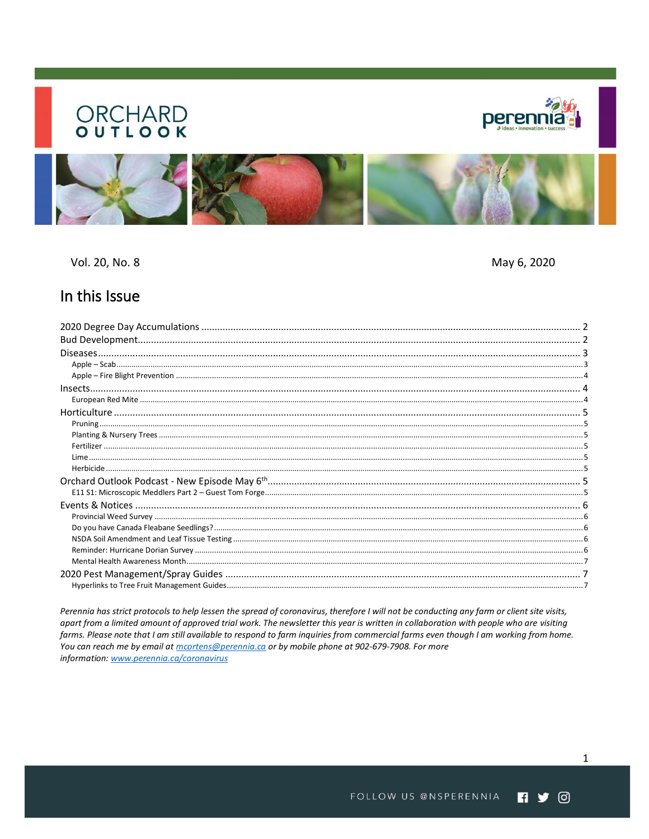# **ORCHARD**





Vol. 20, No. 8

May 6, 2020

# In this Issue

Perennia has strict protocols to help lessen the spread of coronavirus, therefore I will not be conducting any farm or client site visits, apart from a limited amount of approved trial work. The newsletter this year is written in collaboration with people who are visiting farms. Please note that I am still available to respond to farm inquiries from commercial farms even though I am working from home. You can reach me by email at *mcortens@perennia.ca* or by mobile phone at 902-679-7908. For more information: www.perennia.ca/coronavirus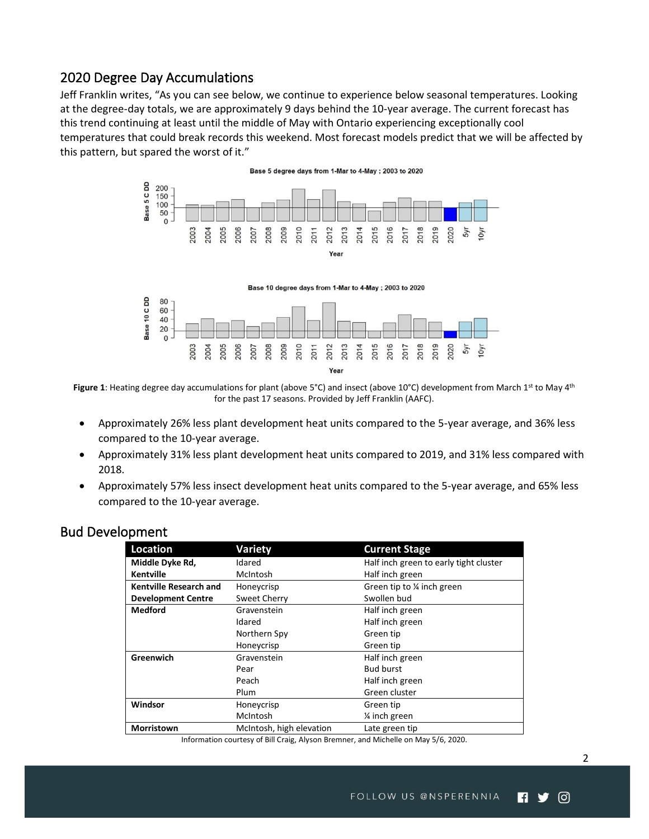## <span id="page-1-0"></span>2020 Degree Day Accumulations

Jeff Franklin writes, "As you can see below, we continue to experience below seasonal temperatures. Looking at the degree-day totals, we are approximately 9 days behind the 10-year average. The current forecast has this trend continuing at least until the middle of May with Ontario experiencing exceptionally cool temperatures that could break records this weekend. Most forecast models predict that we will be affected by this pattern, but spared the worst of it."



Figure 1: Heating degree day accumulations for plant (above 5°C) and insect (above 10°C) development from March 1<sup>st</sup> to May 4<sup>th</sup> for the past 17 seasons. Provided by Jeff Franklin (AAFC).

- Approximately 26% less plant development heat units compared to the 5-year average, and 36% less compared to the 10-year average.
- Approximately 31% less plant development heat units compared to 2019, and 31% less compared with 2018.
- Approximately 57% less insect development heat units compared to the 5-year average, and 65% less compared to the 10-year average.

| –––––––––                     |                          |                                        |  |  |  |
|-------------------------------|--------------------------|----------------------------------------|--|--|--|
| Location                      | Variety                  | <b>Current Stage</b>                   |  |  |  |
| Middle Dyke Rd,               | Idared                   | Half inch green to early tight cluster |  |  |  |
| <b>Kentville</b>              | McIntosh                 | Half inch green                        |  |  |  |
| <b>Kentville Research and</b> | Honeycrisp               | Green tip to % inch green              |  |  |  |
| <b>Development Centre</b>     | Sweet Cherry             | Swollen bud                            |  |  |  |
| <b>Medford</b>                | Gravenstein              | Half inch green                        |  |  |  |
|                               | Idared                   | Half inch green                        |  |  |  |
|                               | Northern Spy             | Green tip                              |  |  |  |
|                               | Honeycrisp               | Green tip                              |  |  |  |
| Greenwich                     | Gravenstein              | Half inch green                        |  |  |  |
|                               | Pear                     | <b>Bud burst</b>                       |  |  |  |
|                               | Peach                    | Half inch green                        |  |  |  |
|                               | Plum                     | Green cluster                          |  |  |  |
| Windsor                       | Honeycrisp               | Green tip                              |  |  |  |
|                               | McIntosh                 | 1/ <sub>4</sub> inch green             |  |  |  |
| Morristown                    | McIntosh, high elevation | Late green tip                         |  |  |  |
|                               |                          |                                        |  |  |  |

#### <span id="page-1-1"></span>Bud Development

Information courtesy of Bill Craig, Alyson Bremner, and Michelle on May 5/6, 2020.

ල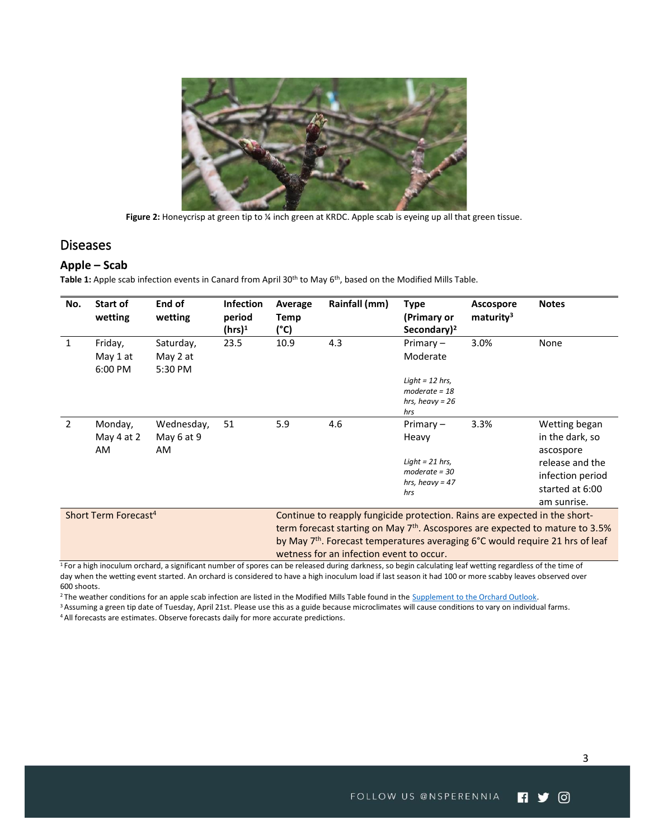

Figure 2: Honeycrisp at green tip to <sup>1</sup> inch green at KRDC. Apple scab is eyeing up all that green tissue.

#### <span id="page-2-0"></span>**Diseases**

#### <span id="page-2-1"></span>**Apple – Scab**

**Table 1:** Apple scab infection events in Canard from April 30th to May 6th , based on the Modified Mills Table.

| No.                              | Start of<br>wetting                | End of<br>wetting                | <b>Infection</b><br>period<br>$(hrs)^1$                                                                                                                                                                                                                    | Average<br>Temp<br>(°C) | Rainfall (mm) | Type<br>(Primary or<br>Secondary) <sup>2</sup>                                           | <b>Ascospore</b><br>maturity <sup>3</sup> | <b>Notes</b>                                                                                                           |
|----------------------------------|------------------------------------|----------------------------------|------------------------------------------------------------------------------------------------------------------------------------------------------------------------------------------------------------------------------------------------------------|-------------------------|---------------|------------------------------------------------------------------------------------------|-------------------------------------------|------------------------------------------------------------------------------------------------------------------------|
| 1                                | Friday,<br>May 1 at<br>6:00 PM     | Saturday,<br>May 2 at<br>5:30 PM | 23.5                                                                                                                                                                                                                                                       | 10.9                    | 4.3           | Primary $-$<br>Moderate                                                                  | 3.0%                                      | None                                                                                                                   |
|                                  |                                    |                                  |                                                                                                                                                                                                                                                            |                         |               | Light = $12$ hrs,<br>moderate = $18$<br>hrs, heavy = $26$<br>hrs                         |                                           |                                                                                                                        |
| 2                                | Monday,<br>May 4 at 2<br><b>AM</b> | Wednesday,<br>May 6 at 9<br>AM.  | 51                                                                                                                                                                                                                                                         | 5.9                     | 4.6           | Primary $-$<br>Heavy<br>Light = $21$ hrs,<br>$moderate = 30$<br>hrs, heavy = $47$<br>hrs | 3.3%                                      | Wetting began<br>in the dark, so<br>ascospore<br>release and the<br>infection period<br>started at 6:00<br>am sunrise. |
| Short Term Forecast <sup>4</sup> |                                    |                                  | Continue to reapply fungicide protection. Rains are expected in the short-<br>term forecast starting on May $7th$ . Ascospores are expected to mature to 3.5%<br>by May 7 <sup>th</sup> . Forecast temperatures averaging 6°C would require 21 hrs of leaf |                         |               |                                                                                          |                                           |                                                                                                                        |

wetness for an infection event to occur.

 $1$  For a high inoculum orchard, a significant number of spores can be released during darkness, so begin calculating leaf wetting regardless of the time of day when the wetting event started. An orchard is considered to have a high inoculum load if last season it had 100 or more scabby leaves observed over 600 shoots.

<sup>2</sup> The weather conditions for an apple scab infection are listed in the Modified Mills Table found in the **Supplement to the Orchard Outlook**.

<sup>3</sup> Assuming a green tip date of Tuesday, April 21st. Please use this as a guide because microclimates will cause conditions to vary on individual farms. <sup>4</sup> All forecasts are estimates. Observe forecasts daily for more accurate predictions.

ම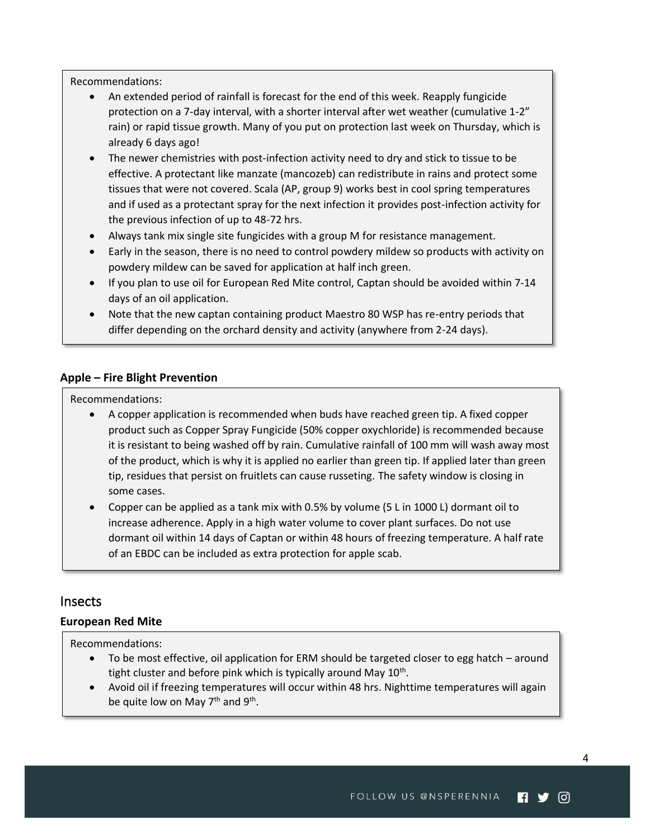Recommendations:

- An extended period of rainfall is forecast for the end of this week. Reapply fungicide protection on a 7-day interval, with a shorter interval after wet weather (cumulative 1-2" rain) or rapid tissue growth. Many of you put on protection last week on Thursday, which is already 6 days ago!
- The newer chemistries with post-infection activity need to dry and stick to tissue to be effective. A protectant like manzate (mancozeb) can redistribute in rains and protect some tissues that were not covered. Scala (AP, group 9) works best in cool spring temperatures and if used as a protectant spray for the next infection it provides post-infection activity for the previous infection of up to 48-72 hrs.
- Always tank mix single site fungicides with a group M for resistance management.
- Early in the season, there is no need to control powdery mildew so products with activity on powdery mildew can be saved for application at half inch green.
- If you plan to use oil for European Red Mite control, Captan should be avoided within 7-14 days of an oil application.
- Note that the new captan containing product Maestro 80 WSP has re-entry periods that differ depending on the orchard density and activity (anywhere from 2-24 days).

#### <span id="page-3-0"></span>**Apple – Fire Blight Prevention**

Recommendations:

- A copper application is recommended when buds have reached green tip. A fixed copper product such as Copper Spray Fungicide (50% copper oxychloride) is recommended because it is resistant to being washed off by rain. Cumulative rainfall of 100 mm will wash away most of the product, which is why it is applied no earlier than green tip. If applied later than green tip, residues that persist on fruitlets can cause russeting. The safety window is closing in some cases.
- Copper can be applied as a tank mix with 0.5% by volume (5 L in 1000 L) dormant oil to increase adherence. Apply in a high water volume to cover plant surfaces. Do not use dormant oil within 14 days of Captan or within 48 hours of freezing temperature. A half rate of an EBDC can be included as extra protection for apple scab.

#### <span id="page-3-1"></span>Insects

#### <span id="page-3-2"></span>**European Red Mite**

Recommendations:

- To be most effective, oil application for ERM should be targeted closer to egg hatch around tight cluster and before pink which is typically around May 10<sup>th</sup>.
- Avoid oil if freezing temperatures will occur within 48 hrs. Nighttime temperatures will again be quite low on May 7<sup>th</sup> and 9<sup>th</sup>.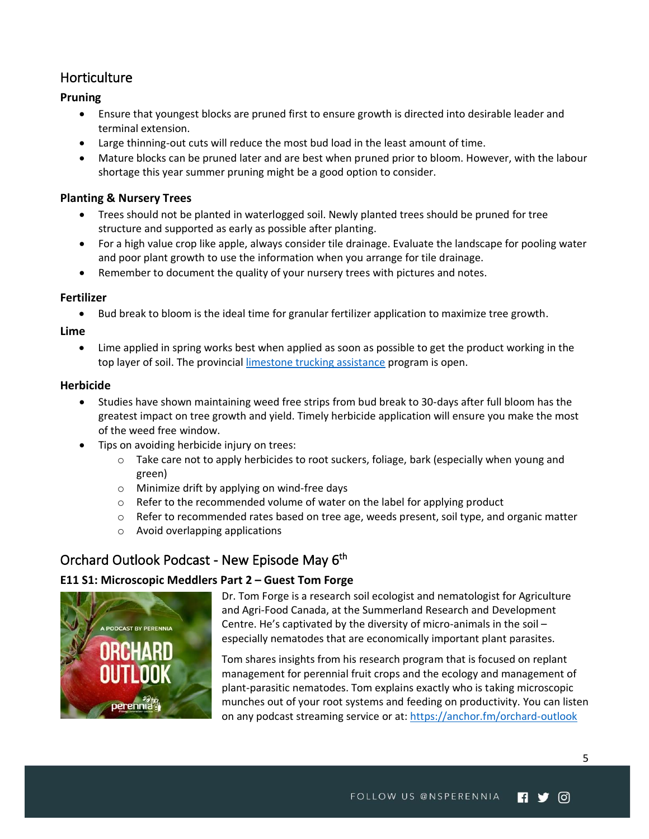# <span id="page-4-0"></span>**Horticulture**

#### <span id="page-4-1"></span>**Pruning**

- Ensure that youngest blocks are pruned first to ensure growth is directed into desirable leader and terminal extension.
- Large thinning-out cuts will reduce the most bud load in the least amount of time.
- Mature blocks can be pruned later and are best when pruned prior to bloom. However, with the labour shortage this year summer pruning might be a good option to consider.

#### <span id="page-4-2"></span>**Planting & Nursery Trees**

- Trees should not be planted in waterlogged soil. Newly planted trees should be pruned for tree structure and supported as early as possible after planting.
- For a high value crop like apple, always consider tile drainage. Evaluate the landscape for pooling water and poor plant growth to use the information when you arrange for tile drainage.
- Remember to document the quality of your nursery trees with pictures and notes.

#### <span id="page-4-3"></span>**Fertilizer**

• Bud break to bloom is the ideal time for granular fertilizer application to maximize tree growth.

<span id="page-4-4"></span>**Lime**

• Lime applied in spring works best when applied as soon as possible to get the product working in the top layer of soil. The provincial [limestone trucking assistance](https://novascotia.ca/programs/limestone-trucking-assistance/) program is open.

#### <span id="page-4-5"></span>**Herbicide**

- Studies have shown maintaining weed free strips from bud break to 30-days after full bloom has the greatest impact on tree growth and yield. Timely herbicide application will ensure you make the most of the weed free window.
- Tips on avoiding herbicide injury on trees:
	- o Take care not to apply herbicides to root suckers, foliage, bark (especially when young and green)
	- o Minimize drift by applying on wind-free days
	- $\circ$  Refer to the recommended volume of water on the label for applying product
	- $\circ$  Refer to recommended rates based on tree age, weeds present, soil type, and organic matter
	- o Avoid overlapping applications

# <span id="page-4-6"></span>Orchard Outlook Podcast - New Episode May 6<sup>th</sup>

#### <span id="page-4-7"></span>**E11 S1: Microscopic Meddlers Part 2 – Guest Tom Forge**



Dr. Tom Forge is a research soil ecologist and nematologist for Agriculture and Agri-Food Canada, at the Summerland Research and Development Centre. He's captivated by the diversity of micro-animals in the soil – especially nematodes that are economically important plant parasites.

Tom shares insights from his research program that is focused on replant management for perennial fruit crops and the ecology and management of plant-parasitic nematodes. Tom explains exactly who is taking microscopic munches out of your root systems and feeding on productivity. You can listen on any podcast streaming service or at:<https://anchor.fm/orchard-outlook>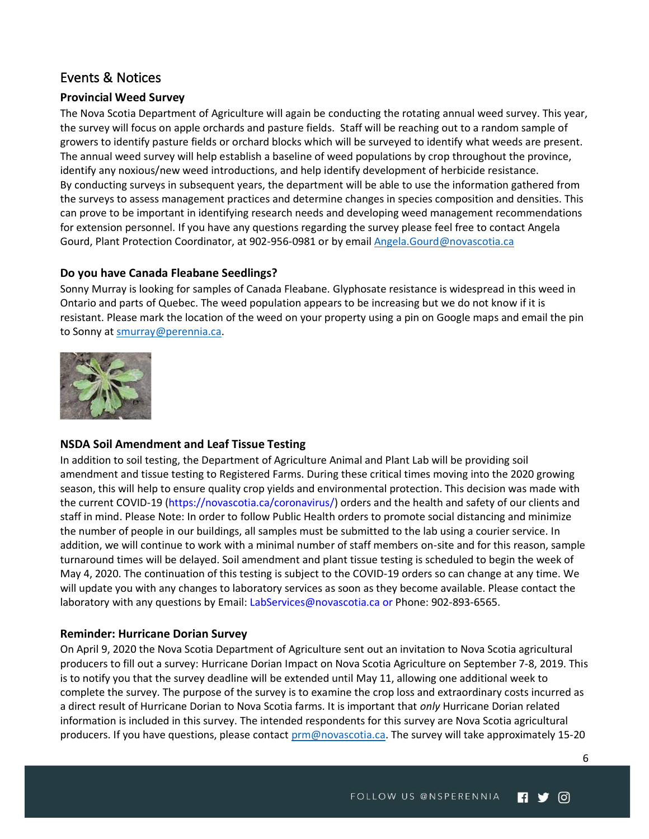## <span id="page-5-0"></span>Events & Notices

#### <span id="page-5-1"></span>**Provincial Weed Survey**

The Nova Scotia Department of Agriculture will again be conducting the rotating annual weed survey. This year, the survey will focus on apple orchards and pasture fields. Staff will be reaching out to a random sample of growers to identify pasture fields or orchard blocks which will be surveyed to identify what weeds are present. The annual weed survey will help establish a baseline of weed populations by crop throughout the province, identify any noxious/new weed introductions, and help identify development of herbicide resistance. By conducting surveys in subsequent years, the department will be able to use the information gathered from the surveys to assess management practices and determine changes in species composition and densities. This can prove to be important in identifying research needs and developing weed management recommendations for extension personnel. If you have any questions regarding the survey please feel free to contact Angela Gourd, Plant Protection Coordinator, at 902-956-0981 or by email [Angela.Gourd@novascotia.ca](mailto:Angela.Gourd@novascotia.ca)

#### <span id="page-5-2"></span>**Do you have Canada Fleabane Seedlings?**

Sonny Murray is looking for samples of Canada Fleabane. Glyphosate resistance is widespread in this weed in Ontario and parts of Quebec. The weed population appears to be increasing but we do not know if it is resistant. Please mark the location of the weed on your property using a pin on Google maps and email the pin to Sonny at [smurray@perennia.ca.](mailto:smurray@perennia.ca)



#### <span id="page-5-3"></span>**NSDA Soil Amendment and Leaf Tissue Testing**

In addition to soil testing, the Department of Agriculture Animal and Plant Lab will be providing soil amendment and tissue testing to Registered Farms. During these critical times moving into the 2020 growing season, this will help to ensure quality crop yields and environmental protection. This decision was made with the current COVID-19 (https://novascotia.ca/coronavirus/) orders and the health and safety of our clients and staff in mind. Please Note: In order to follow Public Health orders to promote social distancing and minimize the number of people in our buildings, all samples must be submitted to the lab using a courier service. In addition, we will continue to work with a minimal number of staff members on-site and for this reason, sample turnaround times will be delayed. Soil amendment and plant tissue testing is scheduled to begin the week of May 4, 2020. The continuation of this testing is subject to the COVID-19 orders so can change at any time. We will update you with any changes to laboratory services as soon as they become available. Please contact the laboratory with any questions by Email: LabServices@novascotia.ca or Phone: 902-893-6565.

#### <span id="page-5-4"></span>**Reminder: Hurricane Dorian Survey**

On April 9, 2020 the Nova Scotia Department of Agriculture sent out an invitation to Nova Scotia agricultural producers to fill out a survey: Hurricane Dorian Impact on Nova Scotia Agriculture on September 7-8, 2019. This is to notify you that the survey deadline will be extended until May 11, allowing one additional week to complete the survey. The purpose of the survey is to examine the crop loss and extraordinary costs incurred as a direct result of Hurricane Dorian to Nova Scotia farms. It is important that *only* Hurricane Dorian related information is included in this survey. The intended respondents for this survey are Nova Scotia agricultural producers. If you have questions, please contact [prm@novascotia.ca.](mailto:prm@novascotia.ca) The survey will take approximately 15-20